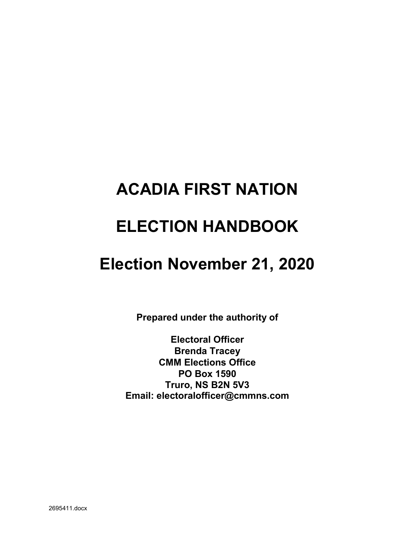# **ACADIA FIRST NATION**

# **ELECTION HANDBOOK**

# **Election November 21, 2020**

**Prepared under the authority of** 

**Electoral Officer Brenda Tracey CMM Elections Office PO Box 1590 Truro, NS B2N 5V3 Email: electoralofficer@cmmns.com**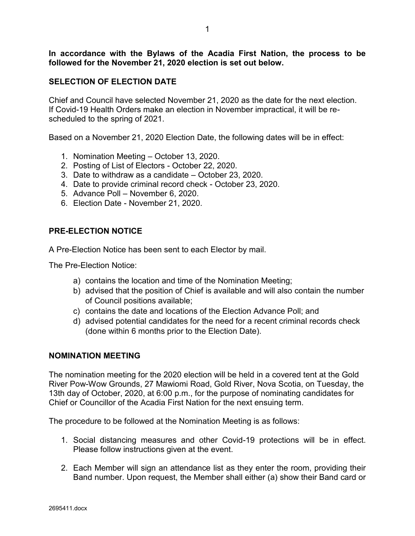**In accordance with the Bylaws of the Acadia First Nation, the process to be followed for the November 21, 2020 election is set out below.**

### **SELECTION OF ELECTION DATE**

Chief and Council have selected November 21, 2020 as the date for the next election. If Covid-19 Health Orders make an election in November impractical, it will be rescheduled to the spring of 2021.

Based on a November 21, 2020 Election Date, the following dates will be in effect:

- 1. Nomination Meeting October 13, 2020.
- 2. Posting of List of Electors October 22, 2020.
- 3. Date to withdraw as a candidate October 23, 2020.
- 4. Date to provide criminal record check October 23, 2020.
- 5. Advance Poll November 6, 2020.
- 6. Election Date November 21, 2020.

#### **PRE-ELECTION NOTICE**

A Pre-Election Notice has been sent to each Elector by mail.

The Pre-Election Notice:

- a) contains the location and time of the Nomination Meeting;
- b) advised that the position of Chief is available and will also contain the number of Council positions available;
- c) contains the date and locations of the Election Advance Poll; and
- d) advised potential candidates for the need for a recent criminal records check (done within 6 months prior to the Election Date).

#### **NOMINATION MEETING**

The nomination meeting for the 2020 election will be held in a covered tent at the Gold River Pow-Wow Grounds, 27 Mawiomi Road, Gold River, Nova Scotia, on Tuesday, the 13th day of October, 2020, at 6:00 p.m., for the purpose of nominating candidates for Chief or Councillor of the Acadia First Nation for the next ensuing term.

The procedure to be followed at the Nomination Meeting is as follows:

- 1. Social distancing measures and other Covid-19 protections will be in effect. Please follow instructions given at the event.
- 2. Each Member will sign an attendance list as they enter the room, providing their Band number. Upon request, the Member shall either (a) show their Band card or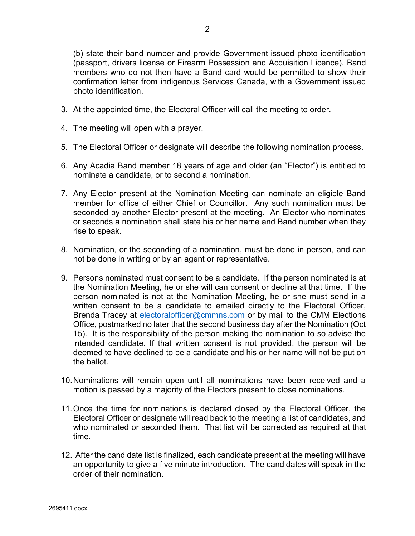(b) state their band number and provide Government issued photo identification (passport, drivers license or Firearm Possession and Acquisition Licence). Band members who do not then have a Band card would be permitted to show their confirmation letter from indigenous Services Canada, with a Government issued photo identification.

- 3. At the appointed time, the Electoral Officer will call the meeting to order.
- 4. The meeting will open with a prayer.
- 5. The Electoral Officer or designate will describe the following nomination process.
- 6. Any Acadia Band member 18 years of age and older (an "Elector") is entitled to nominate a candidate, or to second a nomination.
- 7. Any Elector present at the Nomination Meeting can nominate an eligible Band member for office of either Chief or Councillor. Any such nomination must be seconded by another Elector present at the meeting. An Elector who nominates or seconds a nomination shall state his or her name and Band number when they rise to speak.
- 8. Nomination, or the seconding of a nomination, must be done in person, and can not be done in writing or by an agent or representative.
- 9. Persons nominated must consent to be a candidate. If the person nominated is at the Nomination Meeting, he or she will can consent or decline at that time. If the person nominated is not at the Nomination Meeting, he or she must send in a written consent to be a candidate to emailed directly to the Electoral Officer, Brenda Tracey at [electoralofficer@cmmns.com](mailto:electoralofficer@cmmns.com) or by mail to the CMM Elections Office, postmarked no later that the second business day after the Nomination (Oct 15). It is the responsibility of the person making the nomination to so advise the intended candidate. If that written consent is not provided, the person will be deemed to have declined to be a candidate and his or her name will not be put on the ballot.
- 10.Nominations will remain open until all nominations have been received and a motion is passed by a majority of the Electors present to close nominations.
- 11.Once the time for nominations is declared closed by the Electoral Officer, the Electoral Officer or designate will read back to the meeting a list of candidates, and who nominated or seconded them. That list will be corrected as required at that time.
- 12. After the candidate list is finalized, each candidate present at the meeting will have an opportunity to give a five minute introduction. The candidates will speak in the order of their nomination.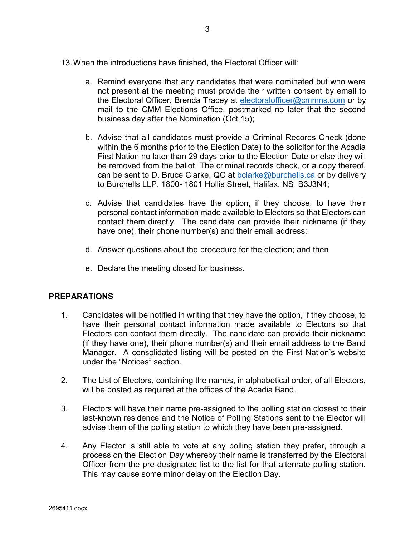- 13.When the introductions have finished, the Electoral Officer will:
	- a. Remind everyone that any candidates that were nominated but who were not present at the meeting must provide their written consent by email to the Electoral Officer, Brenda Tracey at [electoralofficer@cmmns.com](mailto:electoralofficer@cmmns.com) or by mail to the CMM Elections Office, postmarked no later that the second business day after the Nomination (Oct 15);
	- b. Advise that all candidates must provide a Criminal Records Check (done within the 6 months prior to the Election Date) to the solicitor for the Acadia First Nation no later than 29 days prior to the Election Date or else they will be removed from the ballot The criminal records check, or a copy thereof, can be sent to D. Bruce Clarke, QC at [bclarke@burchells.ca](mailto:bclarke@burchells.ca) or by delivery to Burchells LLP, 1800- 1801 Hollis Street, Halifax, NS B3J3N4;
	- c. Advise that candidates have the option, if they choose, to have their personal contact information made available to Electors so that Electors can contact them directly. The candidate can provide their nickname (if they have one), their phone number(s) and their email address;
	- d. Answer questions about the procedure for the election; and then
	- e. Declare the meeting closed for business.

#### **PREPARATIONS**

- 1. Candidates will be notified in writing that they have the option, if they choose, to have their personal contact information made available to Electors so that Electors can contact them directly. The candidate can provide their nickname (if they have one), their phone number(s) and their email address to the Band Manager. A consolidated listing will be posted on the First Nation's website under the "Notices" section.
- 2. The List of Electors, containing the names, in alphabetical order, of all Electors, will be posted as required at the offices of the Acadia Band.
- 3. Electors will have their name pre-assigned to the polling station closest to their last-known residence and the Notice of Polling Stations sent to the Elector will advise them of the polling station to which they have been pre-assigned.
- 4. Any Elector is still able to vote at any polling station they prefer, through a process on the Election Day whereby their name is transferred by the Electoral Officer from the pre-designated list to the list for that alternate polling station. This may cause some minor delay on the Election Day.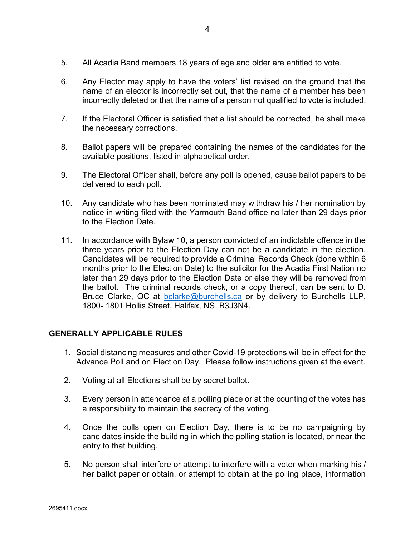- 5. All Acadia Band members 18 years of age and older are entitled to vote.
- 6. Any Elector may apply to have the voters' list revised on the ground that the name of an elector is incorrectly set out, that the name of a member has been incorrectly deleted or that the name of a person not qualified to vote is included.
- 7. If the Electoral Officer is satisfied that a list should be corrected, he shall make the necessary corrections.
- 8. Ballot papers will be prepared containing the names of the candidates for the available positions, listed in alphabetical order.
- 9. The Electoral Officer shall, before any poll is opened, cause ballot papers to be delivered to each poll.
- 10. Any candidate who has been nominated may withdraw his / her nomination by notice in writing filed with the Yarmouth Band office no later than 29 days prior to the Election Date.
- 11. In accordance with Bylaw 10, a person convicted of an indictable offence in the three years prior to the Election Day can not be a candidate in the election. Candidates will be required to provide a Criminal Records Check (done within 6 months prior to the Election Date) to the solicitor for the Acadia First Nation no later than 29 days prior to the Election Date or else they will be removed from the ballot. The criminal records check, or a copy thereof, can be sent to D. Bruce Clarke, QC at [bclarke@burchells.ca](mailto:bclarke@burchells.ca) or by delivery to Burchells LLP, 1800- 1801 Hollis Street, Halifax, NS B3J3N4.

### **GENERALLY APPLICABLE RULES**

- 1. Social distancing measures and other Covid-19 protections will be in effect for the Advance Poll and on Election Day. Please follow instructions given at the event.
- 2. Voting at all Elections shall be by secret ballot.
- 3. Every person in attendance at a polling place or at the counting of the votes has a responsibility to maintain the secrecy of the voting.
- 4. Once the polls open on Election Day, there is to be no campaigning by candidates inside the building in which the polling station is located, or near the entry to that building.
- 5. No person shall interfere or attempt to interfere with a voter when marking his / her ballot paper or obtain, or attempt to obtain at the polling place, information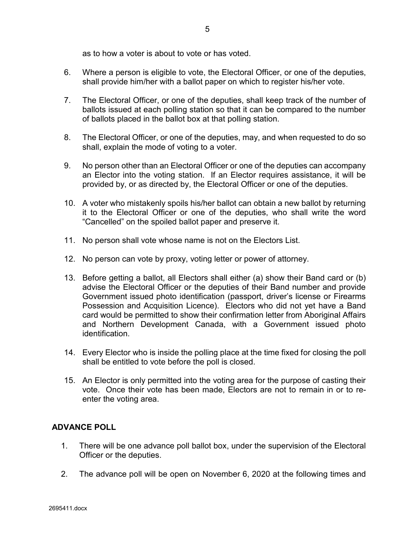as to how a voter is about to vote or has voted.

- 6. Where a person is eligible to vote, the Electoral Officer, or one of the deputies, shall provide him/her with a ballot paper on which to register his/her vote.
- 7. The Electoral Officer, or one of the deputies, shall keep track of the number of ballots issued at each polling station so that it can be compared to the number of ballots placed in the ballot box at that polling station.
- 8. The Electoral Officer, or one of the deputies, may, and when requested to do so shall, explain the mode of voting to a voter.
- 9. No person other than an Electoral Officer or one of the deputies can accompany an Elector into the voting station. If an Elector requires assistance, it will be provided by, or as directed by, the Electoral Officer or one of the deputies.
- 10. A voter who mistakenly spoils his/her ballot can obtain a new ballot by returning it to the Electoral Officer or one of the deputies, who shall write the word "Cancelled" on the spoiled ballot paper and preserve it.
- 11. No person shall vote whose name is not on the Electors List.
- 12. No person can vote by proxy, voting letter or power of attorney.
- 13. Before getting a ballot, all Electors shall either (a) show their Band card or (b) advise the Electoral Officer or the deputies of their Band number and provide Government issued photo identification (passport, driver's license or Firearms Possession and Acquisition Licence). Electors who did not yet have a Band card would be permitted to show their confirmation letter from Aboriginal Affairs and Northern Development Canada, with a Government issued photo identification.
- 14. Every Elector who is inside the polling place at the time fixed for closing the poll shall be entitled to vote before the poll is closed.
- 15. An Elector is only permitted into the voting area for the purpose of casting their vote. Once their vote has been made, Electors are not to remain in or to reenter the voting area.

### **ADVANCE POLL**

- 1. There will be one advance poll ballot box, under the supervision of the Electoral Officer or the deputies.
- 2. The advance poll will be open on November 6, 2020 at the following times and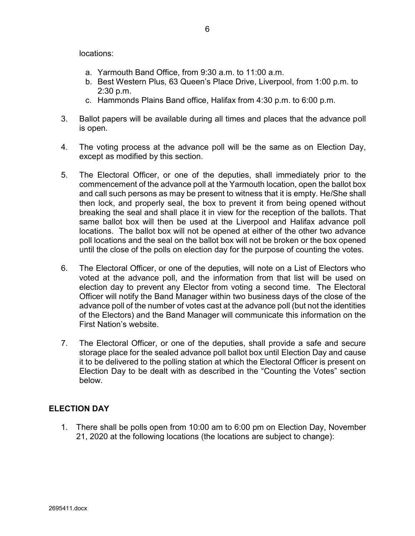locations:

- a. Yarmouth Band Office, from 9:30 a.m. to 11:00 a.m.
- b. Best Western Plus, 63 Queen's Place Drive, Liverpool, from 1:00 p.m. to 2:30 p.m.
- c. Hammonds Plains Band office, Halifax from 4:30 p.m. to 6:00 p.m.
- 3. Ballot papers will be available during all times and places that the advance poll is open.
- 4. The voting process at the advance poll will be the same as on Election Day, except as modified by this section.
- 5. The Electoral Officer, or one of the deputies, shall immediately prior to the commencement of the advance poll at the Yarmouth location, open the ballot box and call such persons as may be present to witness that it is empty. He/She shall then lock, and properly seal, the box to prevent it from being opened without breaking the seal and shall place it in view for the reception of the ballots. That same ballot box will then be used at the Liverpool and Halifax advance poll locations. The ballot box will not be opened at either of the other two advance poll locations and the seal on the ballot box will not be broken or the box opened until the close of the polls on election day for the purpose of counting the votes.
- 6. The Electoral Officer, or one of the deputies, will note on a List of Electors who voted at the advance poll, and the information from that list will be used on election day to prevent any Elector from voting a second time. The Electoral Officer will notify the Band Manager within two business days of the close of the advance poll of the number of votes cast at the advance poll (but not the identities of the Electors) and the Band Manager will communicate this information on the First Nation's website.
- 7. The Electoral Officer, or one of the deputies, shall provide a safe and secure storage place for the sealed advance poll ballot box until Election Day and cause it to be delivered to the polling station at which the Electoral Officer is present on Election Day to be dealt with as described in the "Counting the Votes" section below.

### **ELECTION DAY**

1. There shall be polls open from 10:00 am to 6:00 pm on Election Day, November 21, 2020 at the following locations (the locations are subject to change):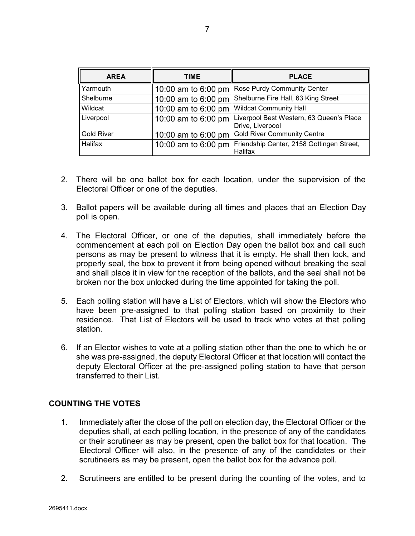| <b>AREA</b>       | TIME                | <b>PLACE</b>                                                 |
|-------------------|---------------------|--------------------------------------------------------------|
| Yarmouth          | 10:00 am to 6:00 pm | Rose Purdy Community Center                                  |
| Shelburne         | 10:00 am to 6:00 pm | Shelburne Fire Hall, 63 King Street                          |
| Wildcat           | 10:00 am to 6:00 pm | <b>Wildcat Community Hall</b>                                |
| Liverpool         | 10:00 am to 6:00 pm | Liverpool Best Western, 63 Queen's Place<br>Drive, Liverpool |
| <b>Gold River</b> | 10:00 am to 6:00 pm | <b>Gold River Community Centre</b>                           |
| Halifax           | 10:00 am to 6:00 pm | Friendship Center, 2158 Gottingen Street,<br>Halifax         |

- 2. There will be one ballot box for each location, under the supervision of the Electoral Officer or one of the deputies.
- 3. Ballot papers will be available during all times and places that an Election Day poll is open.
- 4. The Electoral Officer, or one of the deputies, shall immediately before the commencement at each poll on Election Day open the ballot box and call such persons as may be present to witness that it is empty. He shall then lock, and properly seal, the box to prevent it from being opened without breaking the seal and shall place it in view for the reception of the ballots, and the seal shall not be broken nor the box unlocked during the time appointed for taking the poll.
- 5. Each polling station will have a List of Electors, which will show the Electors who have been pre-assigned to that polling station based on proximity to their residence. That List of Electors will be used to track who votes at that polling station.
- 6. If an Elector wishes to vote at a polling station other than the one to which he or she was pre-assigned, the deputy Electoral Officer at that location will contact the deputy Electoral Officer at the pre-assigned polling station to have that person transferred to their List.

### **COUNTING THE VOTES**

- 1. Immediately after the close of the poll on election day, the Electoral Officer or the deputies shall, at each polling location, in the presence of any of the candidates or their scrutineer as may be present, open the ballot box for that location. The Electoral Officer will also, in the presence of any of the candidates or their scrutineers as may be present, open the ballot box for the advance poll.
- 2. Scrutineers are entitled to be present during the counting of the votes, and to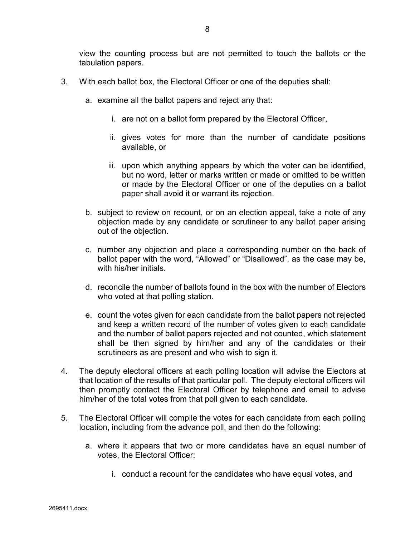- 3. With each ballot box, the Electoral Officer or one of the deputies shall:
	- a. examine all the ballot papers and reject any that:
		- i. are not on a ballot form prepared by the Electoral Officer,
		- ii. gives votes for more than the number of candidate positions available, or
		- iii. upon which anything appears by which the voter can be identified, but no word, letter or marks written or made or omitted to be written or made by the Electoral Officer or one of the deputies on a ballot paper shall avoid it or warrant its rejection.
	- b. subject to review on recount, or on an election appeal, take a note of any objection made by any candidate or scrutineer to any ballot paper arising out of the objection.
	- c. number any objection and place a corresponding number on the back of ballot paper with the word, "Allowed" or "Disallowed", as the case may be, with his/her initials.
	- d. reconcile the number of ballots found in the box with the number of Electors who voted at that polling station.
	- e. count the votes given for each candidate from the ballot papers not rejected and keep a written record of the number of votes given to each candidate and the number of ballot papers rejected and not counted, which statement shall be then signed by him/her and any of the candidates or their scrutineers as are present and who wish to sign it.
- 4. The deputy electoral officers at each polling location will advise the Electors at that location of the results of that particular poll. The deputy electoral officers will then promptly contact the Electoral Officer by telephone and email to advise him/her of the total votes from that poll given to each candidate.
- 5. The Electoral Officer will compile the votes for each candidate from each polling location, including from the advance poll, and then do the following:
	- a. where it appears that two or more candidates have an equal number of votes, the Electoral Officer:
		- i. conduct a recount for the candidates who have equal votes, and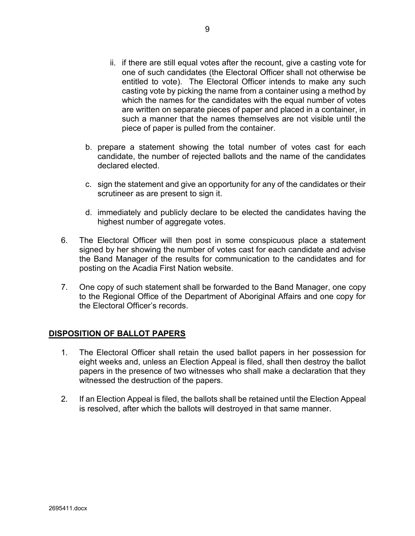- ii. if there are still equal votes after the recount, give a casting vote for one of such candidates (the Electoral Officer shall not otherwise be entitled to vote). The Electoral Officer intends to make any such casting vote by picking the name from a container using a method by which the names for the candidates with the equal number of votes are written on separate pieces of paper and placed in a container, in such a manner that the names themselves are not visible until the piece of paper is pulled from the container.
- b. prepare a statement showing the total number of votes cast for each candidate, the number of rejected ballots and the name of the candidates declared elected.
- c. sign the statement and give an opportunity for any of the candidates or their scrutineer as are present to sign it.
- d. immediately and publicly declare to be elected the candidates having the highest number of aggregate votes.
- 6. The Electoral Officer will then post in some conspicuous place a statement signed by her showing the number of votes cast for each candidate and advise the Band Manager of the results for communication to the candidates and for posting on the Acadia First Nation website.
- 7. One copy of such statement shall be forwarded to the Band Manager, one copy to the Regional Office of the Department of Aboriginal Affairs and one copy for the Electoral Officer's records.

### **DISPOSITION OF BALLOT PAPERS**

- 1. The Electoral Officer shall retain the used ballot papers in her possession for eight weeks and, unless an Election Appeal is filed, shall then destroy the ballot papers in the presence of two witnesses who shall make a declaration that they witnessed the destruction of the papers.
- 2. If an Election Appeal is filed, the ballots shall be retained until the Election Appeal is resolved, after which the ballots will destroyed in that same manner.